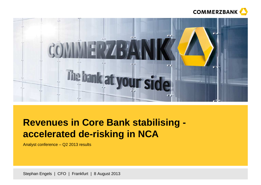



# **Revenues in Core Bank stabilising accelerated de-risking in NCA**

Analyst conference – Q2 2013 results

Stephan Engels | CFO | Frankfurt | 8 August 2013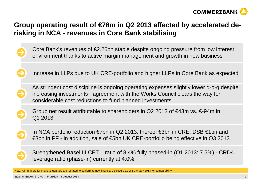

## **Group operating result of €78m in Q2 2013 affected by accelerated derisking in NCA - revenues in Core Bank stabilising**

- Core Bank's revenues of €2.26bn stable despite ongoing pressure from low interest environment thanks to active margin management and growth in new business
	- Increase in LLPs due to UK CRE-portfolio and higher LLPs in Core Bank as expected
- As stringent cost discipline is ongoing operating expenses slightly lower q-o-q despite increasing investments - agreement with the Works Council clears the way for considerable cost reductions to fund planned investments
- Group net result attributable to shareholders in Q2 2013 of  $\epsilon$ 43m vs.  $\epsilon$ -94m in Q1 2013
	- In NCA portfolio reduction €7bn in Q2 2013, thereof €3bn in CRE, DSB €1bn and €3bn in PF - in addition, sale of €5bn UK CRE-portfolio being effective in Q3 2013
	- Strengthened Basel III CET 1 ratio of 8.4% fully phased-in (Q1 2013: 7.5%) CRD4 leverage ratio (phase-in) currently at 4.0%
- Note: All numbers for previous quarters are restated to conform to new financial disclosure as of 1 January 2013 for comparability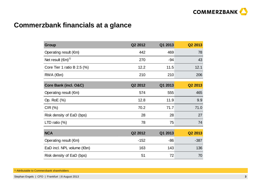

## **Commerzbank financials at a glance**

| Group                                | Q2 2012 | Q1 2013 | Q2 2013 |
|--------------------------------------|---------|---------|---------|
| Operating result $(\epsilon m)$      | 442     | 469     | 78      |
| Net result $(\epsilon m)^{1}$        | 270     | $-94$   | 43      |
| Core Tier 1 ratio B $2.5$ (%)        | 12.2    | 11.5    | 12.1    |
| $RWA$ ( $\notin$ bn)                 | 210     | 210     | 206     |
| Core Bank (incl. O&C)                | Q2 2012 | Q1 2013 | Q2 2013 |
| Operating result $(\epsilon m)$      | 574     | 555     | 465     |
| Op. RoE (%)                          | 12.8    | 11.9    | 9.9     |
| CIR(%)                               | 70.2    | 71.7    | 71.0    |
| Risk density of EaD (bps)            | 28      | 28      | 27      |
| LTD ratio $(\%)$                     | 78      | 75      | 74      |
| <b>NCA</b>                           | Q2 2012 | Q1 2013 | Q2 2013 |
| Operating result $(\epsilon m)$      | $-152$  | $-86$   | $-387$  |
| EaD incl. NPL volume $(\epsilon$ bn) | 163     | 143     | 136     |
| Risk density of EaD (bps)            | 51      | 72      | 70      |

<sup>1)</sup> Attributable to Commerzbank shareholders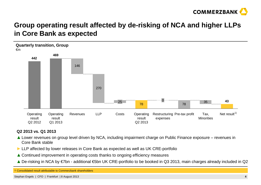

## **Group operating result affected by de-risking of NCA and higher LLPs in Core Bank as expected**



#### **Q2 2013 vs. Q1 2013**

- ▲ Lower revenues on group level driven by NCA, including impairment charge on Public Finance exposure revenues in<br>Core Bank stable Core Bank stable
- **►** LLP affected by lower releases in Core Bank as expected as well as UK CRE-portfolio
- **▲** Continued improvement in operating costs thanks to ongoing efficiency measures
- **▲** De-risking in NCA by €7bn additional €5bn UK CRE-portfolio to be booked in Q3 2013, main charges already included in Q2

1) Consolidated result attributable to Commerzbank shareholders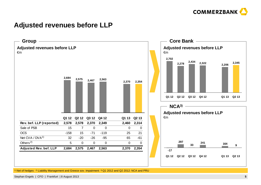

#### **Adjusted revenues before LLP**



 $^{\rm 1)}$  Net of hedges  $^{\rm 2)}$  Liability Management and Greece sov. impairment  $^{\rm 3)}$ Q1 2012 and Q2 2012: NCA and PRU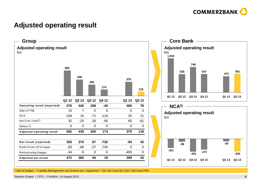

### **Adjusted operating result**







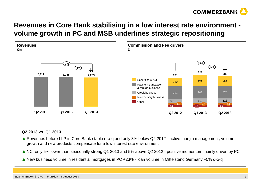

## **Revenues in Core Bank stabilising in a low interest rate environment volume growth in PC and MSB underlines strategic repositioning**



#### **Q2 2013 vs. Q1 2013**

- **▲** Revenues before LLP in Core Bank stable q-o-q and only 3% below Q2 2012 active margin management, volume arouth and new products compensate for a low interest rate environment growth and new products compensate for a low interest rate environment
- **▲** NCI only 5% lower than seasonally strong Q1 2013 and 5% above Q2 2012 positive momentum mainly driven by PC
- **▲** New business volume in residential mortgages in PC +23% loan volume in Mittelstand Germany +5% q-o-q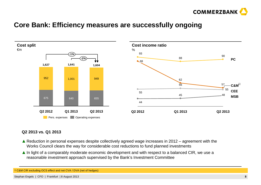

#### **Core Bank: Efficiency measures are successfully ongoing**



#### **Q2 2013 vs. Q1 2013**

- **▲** Reduction in personal expenses despite collectively agreed wage increases in 2012 agreement with the New the way for considerable cost reductions to fund planned investments Works Council clears the way for considerable cost reductions to fund planned investments
- **▲** In light of a comparably moderate economic development and with respect to a balanced CIR, we use a reasonable investment approach supervised by the Bank's Investment Committee reasonable investment approach supervised by the Bank's Investment Committee

1) C&M CIR excluding OCS effect and net CVA / DVA (net of hedges)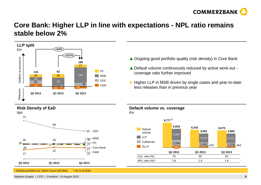

### **Core Bank: Higher LLP in line with expectations - NPL ratio remains stable below 2%**





1) Default portfolio incl. Bank Forum (€0.8bn)2) As % of EaD **▲** Ongoing good portfolio quality (risk density) in Core Bank

- ▲ Default volume continuously reduced by active work-out -<br>coverage ratio further improved coverage ratio further improved
- ► Higher LLP in MSB driven by single cases and year-to-date<br>less releases than in previous year less releases than in previous year

**Default volume vs. coverage**



Stephan Engels | CFO | Frankfurt | 8 August 2013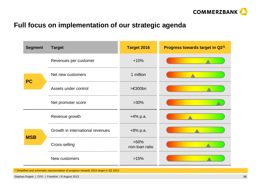

## **Full focus on implementation of our strategic agenda**

| <b>Segment</b> | <b>Target</b>                                                                      | <b>Target 2016</b>        | Progress towards target in Q21) |
|----------------|------------------------------------------------------------------------------------|---------------------------|---------------------------------|
|                | Revenues per customer                                                              | $+10%$                    |                                 |
|                | Net new customers                                                                  | 1 million                 |                                 |
| <b>PC</b>      | Assets under control                                                               | $> \in 300$ bn            |                                 |
|                | Net promoter score                                                                 | $>30\%$                   |                                 |
|                | Revenue growth                                                                     | $+4\%$ p.a.               |                                 |
|                | Growth in international revenues                                                   | $+8\%$ p.a.               |                                 |
| <b>MSB</b>     | Cross-selling                                                                      | $>50\%$<br>non-loan ratio |                                 |
|                | New customers                                                                      | >15%                      |                                 |
|                | Simplified and schematic representation of progress towards 2016 target in Q2 2013 |                           |                                 |

<sup>1)</sup> Sim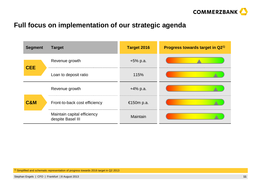

#### **Full focus on implementation of our strategic agenda**

| <b>Segment</b> | <b>Target</b>                                    | <b>Target 2016</b> | Progress towards target in Q2 <sup>1)</sup> |
|----------------|--------------------------------------------------|--------------------|---------------------------------------------|
| <b>CEE</b>     | Revenue growth                                   | $+5%$ p.a.         |                                             |
|                | Loan to deposit ratio                            | 115%               |                                             |
|                | Revenue growth                                   | $+4\%$ p.a.        |                                             |
| <b>C&amp;M</b> | Front-to-back cost efficiency                    | €150m p.a.         |                                             |
|                | Maintain capital efficiency<br>despite Basel III | Maintain           |                                             |

<sup>1)</sup> Simplified and schematic representation of progress towards 2016 target in Q2 2013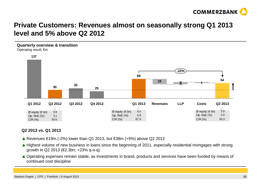

### **Private Customers: Revenues almost on seasonally strong Q1 2013 level and 5% above Q2 2012**



#### **Q2 2013 vs. Q1 2013**

- **▲** Revenues €19m (-2%) lower than Q1 2013, but €38m (+5%) above Q2 2012
- **▲** Highest volume of new business in loans since the beginning of 2011, especially residential mortgages with strong and a rowth in O2 2013 (€2 3bn: +23% a-o-a) growth in Q2 2013 (€2.3bn; +23% q-o-q)
- **▲** Operating expenses remain stable, as investments in brand, products and services have been funded by means of continued cost discipline continued cost discipline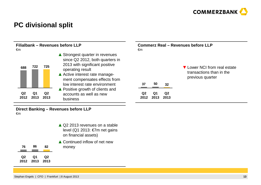

## **PC divisional split**

| Filialbank - Revenues before LLP<br>€m |                   |                        | <b>Commerz Real - Revenues before LLP</b><br>€m                                                                                                                                                                              |                        |            |                        |                                                                              |  |  |
|----------------------------------------|-------------------|------------------------|------------------------------------------------------------------------------------------------------------------------------------------------------------------------------------------------------------------------------|------------------------|------------|------------------------|------------------------------------------------------------------------------|--|--|
| 688                                    | 722               | 725                    | ▲ Strongest quarter in revenues<br>since Q2 2012, both quarters in<br>2013 with significant positive<br>operating result<br>▲ Active interest rate manage-<br>ment compensates effects from<br>low interest rate environment | 37                     | 50         | 32                     | ▼ Lower NCI from real estate<br>transactions than in the<br>previous quarter |  |  |
| Q <sub>2</sub><br>2012                 | <b>Q1</b><br>2013 | Q <sub>2</sub><br>2013 | ▲ Positive growth of clients and<br>accounts as well as new<br>business                                                                                                                                                      | Q <sub>2</sub><br>2012 | Q1<br>2013 | Q <sub>2</sub><br>2013 |                                                                              |  |  |

#### **Direct Banking – Revenues before LLP**  €m

|                        |            |            | ▲ Q2 2013 revenues on a stable<br>level (Q1 2013: €7m net gains<br>on financial assets) |
|------------------------|------------|------------|-----------------------------------------------------------------------------------------|
| 76                     | 86         | 82         | ▲ Continued inflow of net new<br>money                                                  |
| Q <sub>2</sub><br>2012 | Q1<br>2013 | Q2<br>2013 |                                                                                         |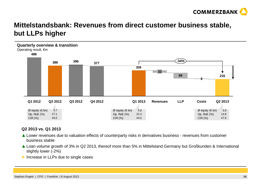

## **Mittelstandsbank: Revenues from direct customer business stable, but LLPs higher**



#### **Q2 2013 vs. Q1 2013**

- ▲ Lower revenues due to valuation effects of counterparty risks in derivatives business revenues from customer<br>business stable business stable
- ▲ Loan volume growth of 3% in Q2 2013, thereof more than 5% in Mittelstand Germany but Großkunden & International slightly lower (-2%) slightly lower (-2%)
- ► Increase in LLPs due to single cases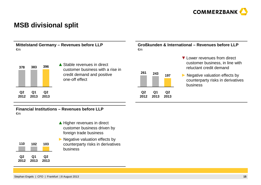

#### **MSB divisional split**



#### **Financial Institutions – Revenues before LLP**  €m

|            |            |            | ▲ Higher revenues in direct<br>customer business driven by<br>foreign trade business                 |
|------------|------------|------------|------------------------------------------------------------------------------------------------------|
| 110        | 102        | 103        | $\blacktriangleright$ Negative valuation effects by<br>counterparty risks in derivatives<br>business |
| Q2<br>2012 | Q1<br>2013 | Q2<br>2013 |                                                                                                      |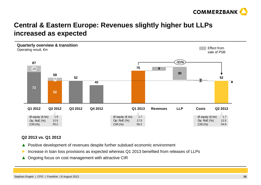

### **Central & Eastern Europe: Revenues slightly higher but LLPs increased as expected**



#### **Q2 2013 vs. Q1 2013**

- ▲Positive development of revenues despite further subdued economic environment
- ►Increase in loan loss provisions as expected whereas Q1 2013 benefited from releases of LLPs
- ▲ Ongoing focus on cost management with attractive CIR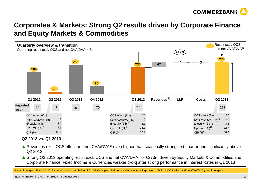

### **Corporates & Markets: Strong Q2 results driven by Corporate Finance and Equity Markets & Commodities**



#### **Q2 2013 vs. Q1 2013**

- A Revenues excl. OCS effect and net CVA/DVA<sup>1)</sup> even higher than seasonally strong first quarter and significantly above  $\bigcirc$  2012 Q2 2012
- $\blacktriangle$  Strong Q2 2013 operating result excl. OCS and net CVA/DVA<sup>1)</sup> of €273m driven by Equity Markets & Commodities and<br>Corporate Einance: Eixed Income & Currencies weaker g-o-g after strong performance in Interest Rates Corporate Finance; Fixed Income & Currencies weaker q-o-q after strong performance in Interest Rates in Q1 2013

1) Net of hedges. Since Q2 2013 spread-based calculation of CVA/DVA impact, before calculation was rating-based. 2) Excl. OCS effect and net CVA/DVA (net of hedges)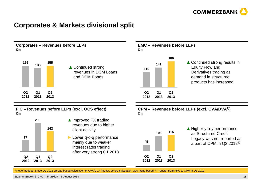

#### **Corporates & Markets divisional split**



1) Net of hedges. Since Q2 2013 spread based calculation of CVA/DVA impact, before calculation was rating based.<sup>2)</sup> Transfer from PRU to CPM in Q3 2012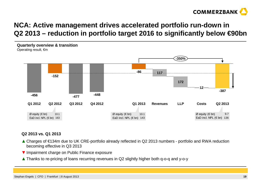

## **NCA: Active management drives accelerated portfolio run-down in Q2 2013 – reduction in portfolio target 2016 to significantly below €90bn**



#### **Q2 2013 vs. Q1 2013**

- ▲ Charges of €134m due to UK CRE-portfolio already reflected in Q2 2013 numbers portfolio and RWA reduction becoming effective in Q3 2013
- ▼ Impairment charge on Public Finance exposure
- ▲ Thanks to re-pricing of loans recurring revenues in Q2 slightly higher both q-o-q and y-o-y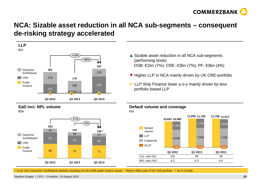

#### **NCA: Sizable asset reduction in all NCA sub-segments – consequent de-risking strategy accelerated**





**EaD incl. NPL volume**



- ▼ Higher LLP in NCA mainly driven by UK CRE-portfolio
- ► LLP Ship Finance lower y-o-y mainly driven by less<br>nortfolio based LLP portfolio based LLP

#### **Default volume and coverage**€m



1) In Q2 2012 Deutsche Schiffsbank portfolio excluding €3.2bn DSB public finance assets 2) Before €5bn sale of UK CRE-portfolio 3) As % of EaD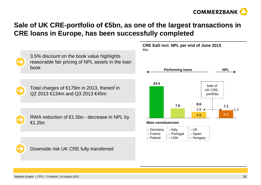

## **Sale of UK CRE-portfolio of €5bn, as one of the largest transactions in CRE loans in Europe, has been successfully completed**

€bn



3.5% discount on the book value highlights reasonable fair pricing of NPL assets in the loan book

Total charges of €179m in 2013, thereof in Q2 2013 €134m and Q3 2013 €45m

RWA reduction of €1.5bn - decrease in NPL by €1.2bn



**CRE EaD incl. NPL per end of June 2013**



Downside risk UK CRE fully transferred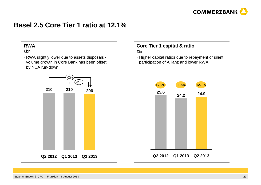

#### **Basel 2.5 Core Tier 1 ratio at 12.1%**

#### **RWA**

€bn

 › RWA slightly lower due to assets disposals volume growth in Core Bank has been offset by NCA run-down



#### **Core Tier 1 capital & ratio**€bn

 › Higher capital ratios due to repayment of silent participation of Allianz and lower RWA

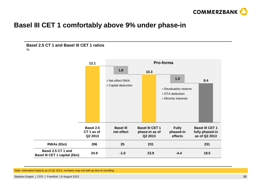

### **Basel III CET 1 comfortably above 9% under phase-in**





Note: estimated impacts as of Q2 2013, numbers may not add up due to rounding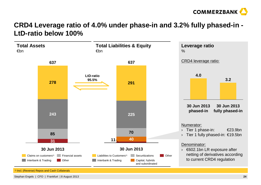

### **CRD4 Leverage ratio of 4.0% under phase-in and 3.2% fully phased-in -LtD-ratio below 100%**

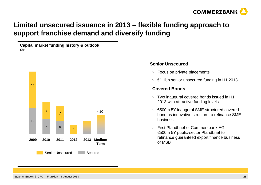

## **Limited unsecured issuance in 2013 – flexible funding approach to support franchise demand and diversify funding**

**Capital market funding history & outlook**€bn



#### **Senior Unsecured**

- › Focus on private placements
- $\rightarrow$   $~\in$ 1.1bn senior unsecured funding in H1 2013

#### **Covered Bonds**

- › Two inaugural covered bonds issued in H1 2013 with attractive funding levels
- › €500m 5Y inaugural SME structured covered bond as innovative structure to refinance SME business
- › First Pfandbrief of Commerzbank AG; €500m 5Y public-sector Pfandbrief to refinance guaranteed export finance business of MSB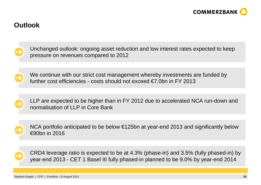

#### **Outlook**



Unchanged outlook: ongoing asset reduction and low interest rates expected to keep pressure on revenues compared to 2012



We continue with our strict cost management whereby investments are funded by further cost efficiencies - costs should not exceed  $\epsilon$ 7.0bn in FY 2013



LLP are expected to be higher than in FY 2012 due to accelerated NCA run-down and normalisation of LLP in Core Bank



NCA portfolio anticipated to be below €125bn at year-end 2013 and significantly below €90bn in 2016



CRD4 leverage ratio is expected to be at 4.3% (phase-in) and 3.5% (fully phased-in) by year-end 2013 - CET 1 Basel III fully phased-in planned to be 9.0% by year-end 2014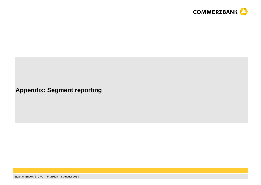

### **Appendix: Segment reporting**

Stephan Engels | CFO | Frankfurt | 8 August 2013**<sup>27</sup>**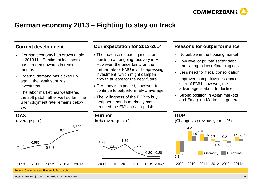

### **German economy 2013 – Fighting to stay on track**

#### **Current development**

- › German economy has grown again in 2013 H1. Sentiment indicators has trended upwards in recent months.
- › External demand has picked up again; the weak spot is still investment
- › The labor market has weathered the soft patch rather well so far. The unemployment rate remains below 7%.

#### **Our expectation for 2013-2014**

- › The increase of leading indicators points to an ongoing recovery in H2. However, the uncertainty on the further fate of EMU is still depressing investment, which might dampen growth at least for the near future.
- › Germany is expected, however, to continue to outperform EMU average
- › The willingness of the ECB to buy peripheral bonds markedly has reduced the EMU break-up risk

#### **Reasons for outperformance**

- $\rightarrow$  No bubble in the housing market
- › Low level of private sector debt translating to low refinancing cost
- ›Less need for fiscal consolidation
- › Improved competitiveness since start of EMU; however, the advantage is about to decline
- › Strong position in Asian markets and Emerging Markets in general



#### Source: Commerzbank Economic Research

Stephan Engels | CFO | Frankfurt | 8 August 2013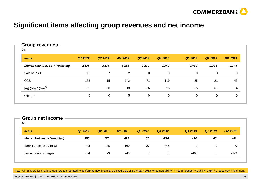

## **Significant items affecting group revenues and net income**

#### **Group revenues**€m**Items Q1 2012 Q2 2012 6M 2012 Q3 2012 Q4 2012 Q1 2013 Q2 2013 6M 2013Memo: Rev. bef. LLP (reported) 2,578 2,578 5,156 2,370 2,349 2,460 2,314 4,774**Sale of PSB 15 7 22 0 0 0 0 0 OCS -158 <sup>15</sup> -142 -71 -119 <sup>25</sup> <sup>21</sup> <sup>46</sup> Net CVA / DVA<sup>1)</sup> 32 -20 13 -26 -95 65 -61 4 Others2) <sup>5</sup> <sup>0</sup> <sup>5</sup> <sup>0</sup> <sup>0</sup> <sup>0</sup> <sup>0</sup> <sup>0</sup>

#### **Group net income**

€m

| <i>ltems</i>                       | Q1 2012 | Q <sub>2</sub> 2012 | 6M 2012 | Q3 2012 | Q4 2012 | Q1 2013 | Q <sub>2</sub> 2013 | 6M 2013 |
|------------------------------------|---------|---------------------|---------|---------|---------|---------|---------------------|---------|
| <b>Memo: Net result (reported)</b> | 355     | 270                 | 625     | 67      | -726    | -94     | 43                  | -51     |
| Bank Forum, DTA impair.            | -83     | -86                 | $-169$  | $-27$   | -745    |         | 0                   |         |
| Restructuring charges              | -34     | -9                  | -43     | 0       | 0       | -493    | 0                   | -493    |

Note: All numbers for previous quarters are restated to conform to new financial disclosure as of 1 January 2013 for comparability 1) Net of hedges <sup>2)</sup> Liability Mgmt / Greece sov. impairment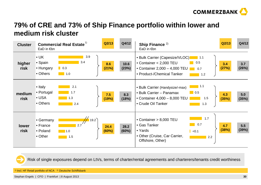

## **79% of CRE and 73% of Ship Finance portfolio within lower and medium risk cluster**

| <b>Cluster</b>       | <b>Commercial Real Estate</b> <sup>1)</sup><br>EaD in $\notin$ bn                                          | Q2/13         | Q4/12         | Ship Finance $2$<br>EaD in $\notin$ bn                                                                                                                                                                                                                                                              | Q2/13        | Q4/12        |
|----------------------|------------------------------------------------------------------------------------------------------------|---------------|---------------|-----------------------------------------------------------------------------------------------------------------------------------------------------------------------------------------------------------------------------------------------------------------------------------------------------|--------------|--------------|
| higher<br>risk       | 3.9<br>$\bullet$ UK<br>3.4<br>• Spain<br>• Hungary<br>$\blacksquare$ 0.3<br>• Others<br>$\blacksquare$ 1.0 | 8.6<br>(21%)  | 10.6<br>(23%) | • Bulk Carrier (Capesize/VLOC)<br>$\blacksquare$ 1.1<br>0.5<br>$\bullet$ Container < 2,000 TEU<br>• Container 2,000 - 4,000 TEU<br>0.7<br><b>Contract Contract Contract Contract Contract Contract Contract Contract Contract Contract Contract Contract C</b><br>• Product-/Chemical Tanker<br>1.2 | 3.4<br>(27%) | 3.7<br>(26%) |
| medium<br>risk       | $\bullet$ Italy<br>2.1<br>• Portugal<br>1.7<br>$\bullet$ USA<br>1.3<br>• Others<br>2.4                     | 7.5<br>(19%)  | 8.3<br>(18%)  | $\blacksquare$ 1.1<br>• Bulk Carrier (Handysize/-max)<br>$\blacksquare$ 0.5<br>• Bulk Carrier – Panamax<br>• Container $4,000 - 8,000$ TEU<br>1.5<br>• Crude Oil Tanker<br>1.3                                                                                                                      | 4.3<br>(35%) | 5.0<br>(35%) |
| <b>lower</b><br>risk | 19.2<br>• Germany<br>2.7<br>$\bullet$ France<br>• Poland<br>1.0<br>• Other<br>1.5                          | 24.4<br>(60%) | 28.2<br>(60%) | 1.7<br>• Container > 8,000 TEU<br>0.7<br>• Gas Tanker<br>• Yards<br>$\vert \cdot \vert$ < 0.1<br>• Other (Cruise, Car Carrier,<br>2.2<br>Offshore, Other)                                                                                                                                           | 4.7<br>(38%) | 5.5<br>(39%) |

Risk of single exposures depend on LtVs, terms of charter/rental agreements and charterers/tenants credit worthiness

<sup>1)</sup> Incl. HF Retail portfolio of NCA <sup>2)</sup> Deutsche Schiffsbank

Stephan Engels | CFO | Frankfurt | 8 August 2013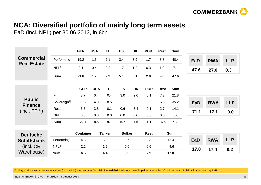

## **NCA: Diversified portfolio of mainly long term assets**

EaD (incl. NPL) per 30.06.2013, in €bn

|                                         |                         | <b>GER</b>       | <b>USA</b> | $\mathsf{I}\mathsf{T}$ | <b>ES</b>     | <b>UK</b> | <b>POR</b>  | <b>Rest</b> | <b>Sum</b> |            |            |            |
|-----------------------------------------|-------------------------|------------------|------------|------------------------|---------------|-----------|-------------|-------------|------------|------------|------------|------------|
| <b>Commercial</b><br><b>Real Estate</b> | Performing              | 19.2             | 1.3        | 2.1                    | 3.4           | 3.9       | 1.7         | 8.8         | 40.4       | <b>EaD</b> | <b>RWA</b> | <b>LLP</b> |
|                                         | NPL <sup>3</sup>        | 2.4              | 0.4        | 0.2                    | 1.7           | 1.2       | 0.3         | 1.0         | 7.1        | 47.6       | 27.0       | 0.3        |
|                                         | <b>Sum</b>              | 21.6             | $1.7$      | 2.3                    | 5.1           | 5.1       | 2.0         | 9.8         | 47.6       |            |            |            |
|                                         |                         |                  |            |                        |               |           |             |             |            |            |            |            |
|                                         |                         | <b>GER</b>       | <b>USA</b> | $\mathsf{I}\mathsf{T}$ | <b>ES</b>     | <b>UK</b> | <b>POR</b>  | <b>Rest</b> | <b>Sum</b> |            |            |            |
|                                         | F <sub>l</sub>          | 8.7              | 0.4        | 0.4                    | 3.0           | 2.0       | 0.1         | 7.2         | 21.8       |            |            |            |
| <b>Public</b><br><b>Finance</b>         | Sovereign <sup>2)</sup> | 10.7             | 4.3        | 8.5                    | 2.1           | 2.2       | 0.8         | 6.5         | 35.2       | <b>EaD</b> | <b>RWA</b> | <b>LLP</b> |
| (incl. PFI <sup>1</sup> )               | Rest                    | 3.3              | 3.8        | 0.1                    | 0.6           | 3.4       | 0.1         | 2.7         | 14.1       |            |            |            |
|                                         | NPL <sup>3</sup>        | 0.0              | 0.0        | 0.0                    | 0.0           | 0.0       | 0.0         | 0.0         | 0.0        | 71.1       | 17.1       | 0.0        |
|                                         | <b>Sum</b>              | 22.7             | 8.5        | 9.1                    | 5.7           | 7.5       | $1.1$       | 16.5        | 71.1       |            |            |            |
|                                         |                         |                  |            |                        |               |           |             |             |            |            |            |            |
| <b>Deutsche</b>                         |                         | <b>Container</b> |            | <b>Tanker</b>          | <b>Bulker</b> |           | <b>Rest</b> |             | <b>Sum</b> |            |            |            |
| <b>Schiffsbank</b>                      | Performing              | 4.3              |            | 3.2                    | 2.6           |           | 2.3         |             | 12.4       | <b>EaD</b> | <b>RWA</b> | <b>LLP</b> |
| (incl. CR)                              | NPL <sup>3</sup>        | 2.2              |            | 1.2                    | 0.6           |           | 0.6         |             | 4.6        | 17.0       | 17.4       | 0.2        |
| Warehouse)                              | <b>Sum</b>              | 6.5              |            | 4.4                    | 3.3           |           | 2.9         |             | 17.0       |            |            |            |

<sup>1)</sup> Utility and infrastructure transactions (mostly UK) – taken over from PRU in mid-2012; without value-impairing securities <sup>2)</sup> Incl. regions <sup>3)</sup> claims in the category LaR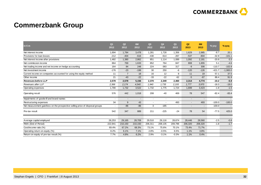

## **Commerzbank Group**

| in $\epsilon$ m                                                               | Q <sub>1</sub><br>2012 | Q <sub>2</sub><br>2012   | 6M<br>2012               | Q <sub>3</sub><br>2012   | Q4<br>2012               | Q <sub>1</sub><br>2013 | Q2<br>2013 | <b>6M</b><br>2013        | % yoy          | % qoq                    |
|-------------------------------------------------------------------------------|------------------------|--------------------------|--------------------------|--------------------------|--------------------------|------------------------|------------|--------------------------|----------------|--------------------------|
| Net interest income                                                           | 1,694                  | 1,784                    | 3,478                    | 1,281                    | 1,728                    | 1,356                  | 1,629      | 2,985                    | $-8.7$         | 20.1                     |
| Provisions for loan losses                                                    | $-212$                 | $-404$                   | $-616$                   | $-430$                   | $-614$                   | $-267$                 | $-537$     | $-804$                   | $-32.9$        | $-101.1$                 |
| Net interest income after provisions                                          | 1,482                  | 1,380                    | 2,862                    | 851                      | 1,114                    | 1,089                  | 1,092      | 2,181                    | $-20.9$        | 0.3                      |
| Net commission income                                                         | 864                    | 769                      | 1,633                    | 852                      | 764                      | 847                    | 808        | 1,655                    | 5.1            | $-4.6$                   |
| Net trading income and net income on hedge accounting                         | 164                    | 84                       | 248                      | 224                      | $-383$                   | 317                    | $-9$       | 308                      | $-110.7$       | $-102.8$                 |
| Net investment income                                                         | $-176$                 | $-23$                    | $-199$                   | 30                       | 250                      | -6                     | $-120$     | $-126$                   | $-421.7$       | $-1,900.0$               |
| Current income on companies accounted for using the equity method             | 11                     | $\overline{7}$           | 18                       | 16                       | 12                       | 8                      | 11         | 19                       | 57.1           | 37.5                     |
| Other income                                                                  | 21                     | $-43$                    | $-22$                    | $-33$                    | $-22$                    | $-62$                  | $-5$       | $-67$                    | 88.4           | 91.9                     |
| Revenues before LLP                                                           | 2,578                  | 2,578                    | 5,156                    | 2,370                    | 2,349                    | 2,460                  | 2,314      | 4,774                    | $-10.2$        | $-5.9$                   |
| Revenues after LLP                                                            | 2,366                  | 2,174                    | 4,540                    | 1,940                    | 1,735                    | 2,193                  | 1,777      | 3,970                    | $-18.3$        | $-19.0$                  |
| Operating expenses                                                            | 1,790                  | 1,732                    | 3,522                    | 1,732                    | 1,775                    | 1,724                  | 1,699      | 3,423                    | $-1.9$         | $-1.5$                   |
| Operating result                                                              | 576                    | 442                      | 1,018                    | 208                      | $-40$                    | 469                    | 78         | 547                      | $-82.4$        | $-83.4$                  |
| Impairments of goodwill and brand names                                       |                        | $\overline{\phantom{a}}$ | $\overline{\phantom{a}}$ | $\overline{\phantom{a}}$ | $\sim$                   | $\overline{a}$         |            | $\overline{a}$           | $\blacksquare$ | $\overline{\phantom{a}}$ |
| Restructuring expenses                                                        | 34                     | 9                        | 43                       | $\overline{\phantom{a}}$ | $\overline{\phantom{0}}$ | 493                    |            | 493                      | $-100.0$       | $-100.0$                 |
| Net measurement gain/loss on the prospective selling price of disposal groups |                        | $-86$                    | $-86$                    | 3                        | $-185$                   | $\blacksquare$         |            | $\overline{\phantom{a}}$ | 100.0          | $\sim$                   |
| Pre-tax result                                                                | 542                    | 347                      | 889                      | 211                      | $-225$                   | $-24$                  | 78         | 54                       | $-77.5$        | 425.0                    |
| Average capital employed                                                      | 28,253                 | 29,165                   | 28,709                   | 29,510                   | 29,116                   | 28,674                 | 28,446     | 28,560                   | $-2.5$         | $-0.8$                   |
| RWA (End of Period)                                                           | 222,941                | 210,150                  | 210,150                  | 206,311                  | 208,135                  | 209,796                | 206,320    | 206,320                  | $-1.8$         | $-1.7$                   |
| Cost/income ratio (%)                                                         | 69.4%                  | 67.2%                    | 68.3%                    | 73.1%                    | 75.6%                    | 70.1%                  | 73.4%      | 71.7%                    |                |                          |
| Operating return on equity (%)                                                | 8.2%                   | 6.1%                     | 7.1%                     | 2.8%                     | $-0.5%$                  | 6.5%                   | 1.1%       | 3.8%                     |                |                          |
| Return on equity of pre-tax result (%)                                        | 7.7%                   | 4.8%                     | 6.2%                     | 2.9%                     | $-3.1%$                  | $-0.3%$                | 1.1%       | 0.4%                     |                |                          |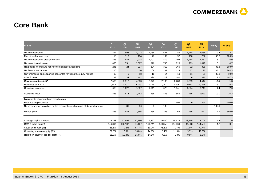

## **Core Bank**

| $\mathsf{in} \in \mathsf{m}$                                                  | Q <sub>1</sub><br>2012   | Q <sub>2</sub><br>2012   | 6M<br>2012               | Q3<br>2012     | Q4<br>2012               | Q <sub>1</sub><br>2013 | Q2<br>2013 | 6M<br>2013     | % yoy                    | $%$ qoq  |
|-------------------------------------------------------------------------------|--------------------------|--------------------------|--------------------------|----------------|--------------------------|------------------------|------------|----------------|--------------------------|----------|
| Net interest income                                                           | 1.474                    | 1,598                    | 3,072                    | 1,154          | 1,521                    | 1.186                  | 1.448      | 2,634          | $-9.4$                   | 22.1     |
| Provisions for loan losses                                                    | $-18$                    | $-116$                   | $-134$                   | $-47$          | $-102$                   | $-92$                  | $-190$     | $-282$         | $-63.8$                  | $-106.5$ |
| Net interest income after provisions                                          | 1,456                    | 1,482                    | 2,938                    | 1,107          | 1,419                    | 1,094                  | 1,258      | 2,352          | $-15.1$                  | 15.0     |
| Net commission income                                                         | 836                      | 751                      | 1,587                    | 826            | 735                      | 828                    | 789        | 1,617          | 5.1                      | $-4.7$   |
| Net trading income and net income on hedge accounting                         | 241                      | $-24$                    | 217                      | 294            | $-312$                   | 360                    | $-32$      | 328            | $-33.3$                  | $-108.9$ |
| Net investment income                                                         | 10                       | 20                       | 30                       | 109            | 237                      | $-14$                  | 37         | 23             | 85.0                     | 364.3    |
| Current income on companies accounted for using the equity method             | 12                       | 6                        | 18                       | 16             | 14                       | 10                     | 11         | 21             | 83.3                     | 10.0     |
| Other income                                                                  | $-7$                     | $-34$                    | $-41$                    | $-26$          | $-12$                    | $-82$                  | 6          | $-76$          | 117.6                    | 107.3    |
| <b>Revenues before LLP</b>                                                    | 2,566                    | 2,317                    | 4,883                    | 2,373          | 2,183                    | 2,288                  | 2,259      | 4,547          | $-2.5$                   | $-1.3$   |
| Revenues after LLP                                                            | 2,548                    | 2,201                    | 4,749                    | 2,326          | 2,081                    | 2,196                  | 2,069      | 4,265          | $-6.0$                   | $-5.8$   |
| Operating expenses                                                            | 1,680                    | 1,627                    | 3,307                    | 1,641          | 1,673                    | 1,641                  | 1,604      | 3,245          | $-1.4$                   | $-2.3$   |
| Operating result                                                              | 868                      | 574                      | 1,442                    | 685            | 408                      | 555                    | 465        | 1,020          | $-19.0$                  | $-16.2$  |
| Impairments of goodwill and brand names                                       | $\overline{\phantom{a}}$ | $\overline{a}$           | $\overline{\phantom{a}}$ | $\overline{a}$ | $\overline{\phantom{a}}$ |                        |            |                | $\overline{\phantom{a}}$ | $\sim$   |
| Restructuring expenses                                                        | $\blacksquare$           | $\overline{\phantom{a}}$ | $\overline{\phantom{a}}$ | $\blacksquare$ | $\overline{\phantom{a}}$ | 493                    | $-0$       | 493            |                          | $-100.0$ |
| Net measurement gain/loss on the prospective selling price of disposal groups |                          | $-86$                    | $-86$                    | 3              | $-185$                   |                        |            | $\blacksquare$ | 100.0                    | $\sim$   |
| Pre-tax profit                                                                | 868                      | 488                      | 1,356                    | 688            | 223                      | 62                     | 465        | 527            | $-4.7$                   | 650.0    |
|                                                                               |                          |                          |                          |                |                          |                        |            |                |                          |          |
| Average capital employed                                                      | 16,323                   | 17,996                   | 17,160                   | 19,457         | 19,500                   | 18,616                 | 18,795     | 18,706         | 4.4                      | 1.0      |
| RWA (End of Period)                                                           | 146,894                  | 138.107                  | 138,107                  | 141,741        | 140,352                  | 144,660                | 144.568    | 144,568        | 4.7                      | $-0.1$   |
| Cost/income ratio (%)                                                         | 65.5%                    | 70.2%                    | 67.7%                    | 69.2%          | 76.6%                    | 71.7%                  | 71.0%      | 71.4%          |                          |          |
| Operating return on equity (%)                                                | 21.3%                    | 12.8%                    | 16.8%                    | 14.1%          | 8.4%                     | 11.9%                  | 9.9%       | 10.9%          |                          |          |
| Return on equity of pre-tax profit (%)                                        | 21.3%                    | 10.8%                    | 15.8%                    | 14.1%          | 4.6%                     | 1.3%                   | 9.9%       | 5.6%           |                          |          |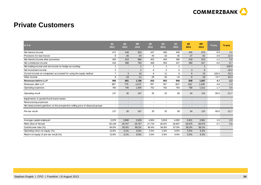

#### **Private Customers**

| in $\epsilon$ m                                                               | Q <sub>1</sub><br>2012   | Q <sub>2</sub><br>2012   | 6M<br>2012               | Q <sub>3</sub><br>2012   | Q4<br>2012               | Q <sub>1</sub><br>2013   | Q2<br>2013               | 6M<br>2013               | % yoy                    | $%$ qoq                  |
|-------------------------------------------------------------------------------|--------------------------|--------------------------|--------------------------|--------------------------|--------------------------|--------------------------|--------------------------|--------------------------|--------------------------|--------------------------|
| Net interest income                                                           | 471                      | 449                      | 920                      | 447                      | 460                      | 430                      | 445                      | 875                      | $-0.9$                   | 3.5                      |
| Provisions for loan losses                                                    | -8                       | $-26$                    | $-34$                    | $-45$                    | $-16$                    | $-35$                    | $-27$                    | $-62$                    | $-3.8$                   | 22.9                     |
| Net interest income after provisions                                          | 463                      | 423                      | 886                      | 402                      | 444                      | 395                      | 418                      | 813                      | $-1.2$                   | 5.8                      |
| Net commission income                                                         | 416                      | 368                      | 784                      | 408                      | 353                      | 427                      | 390                      | 817                      | 6.0                      | $-8.7$                   |
| Net trading income and net income on hedge accounting                         |                          | $\overline{a}$           |                          |                          |                          |                          |                          |                          |                          | $-100.0$                 |
| Net investment income                                                         | $\overline{2}$           | $\overline{\phantom{a}}$ | $\overline{2}$           | $-4$                     | $-2$                     | 5                        | 3                        | 8                        |                          | $-40.0$                  |
| Current income on companies accounted for using the equity method             | $\overline{7}$           | 3                        | 10                       | 6                        | 11                       | 9                        | 6                        | 15                       | 100.0                    | $-33.3$                  |
| Other income                                                                  | 8                        | $-19$                    | $-11$                    | $-26$                    | $-20$                    | $-14$                    | -5                       | $-19$                    | 73.7                     | 64.3                     |
| <b>Revenues before LLP</b>                                                    | 905                      | 801                      | 1,706                    | 832                      | 803                      | 858                      | 839                      | 1,697                    | 4.7                      | $-2.2$                   |
| Revenues after LLP                                                            | 897                      | 775                      | 1,672                    | 787                      | 787                      | 823                      | 812                      | 1,635                    | 4.8                      | $-1.3$                   |
| Operating expenses                                                            | 760                      | 745                      | 1,505                    | 752                      | 762                      | 754                      | 758                      | 1,512                    | 1.7                      | 0.5                      |
| Operating result                                                              | 137                      | 30                       | 167                      | 35                       | 25                       | 69                       | 54                       | 123                      | 80.0                     | $-21.7$                  |
| Impairments of goodwill and brand names                                       | $\overline{\phantom{a}}$ | $\overline{\phantom{a}}$ | $\overline{\phantom{a}}$ | $\blacksquare$           | $\overline{\phantom{a}}$ | $\overline{\phantom{a}}$ | $\overline{\phantom{a}}$ | $\overline{\phantom{a}}$ | $\overline{\phantom{a}}$ | $\overline{\phantom{a}}$ |
| Restructuring expenses                                                        | $\overline{\phantom{0}}$ | $\overline{\phantom{0}}$ | $\overline{\phantom{a}}$ | $\overline{a}$           | $\overline{\phantom{a}}$ |                          |                          | $\overline{\phantom{0}}$ |                          | $\blacksquare$           |
| Net measurement gain/loss on the prospective selling price of disposal groups | $\overline{\phantom{a}}$ |                          | $\overline{\phantom{a}}$ | $\overline{\phantom{a}}$ |                          |                          |                          |                          |                          |                          |
| Pre-tax result                                                                | 137                      | 30                       | 167                      | 35                       | 25                       | 69                       | 54                       | 123                      | 80.0                     | $-21.7$                  |
|                                                                               |                          |                          |                          |                          |                          |                          |                          |                          |                          |                          |
| Average capital employed                                                      | 3,976                    | 3,880                    | 3,928                    | 4,003                    | 3,819                    | 4,002                    | 3,921                    | 3,961                    | 1.0                      | $-2.0$                   |
| RWA (End of Period)                                                           | 28,149                   | 28,767                   | 28,767                   | 27,733                   | 29,047                   | 28,807                   | 28,975                   | 28,975                   | 0.7                      | 0.6                      |
| Cost/income ratio (%)                                                         | 84.0%                    | 93.0%                    | 88.2%                    | 90.4%                    | 94.9%                    | 87.9%                    | 90.3%                    | 89.1%                    |                          |                          |
| Operating return on equity (%)                                                | 13.8%                    | 3.1%                     | 8.5%                     | 3.5%                     | 2.6%                     | 6.9%                     | 5.5%                     | 6.2%                     |                          |                          |
| Return on equity of pre-tax result (%)                                        | 13.8%                    | 3.1%                     | 8.5%                     | 3.5%                     | 2.6%                     | 6.9%                     | 5.5%                     | 6.2%                     |                          |                          |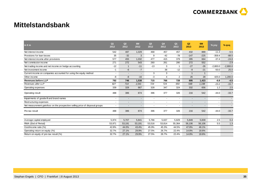

### **Mittelstandsbank**

| in $\epsilon$ m                                                               | Q <sub>1</sub><br>2012   | Q2<br>2012               | 6M<br>2012               | Q <sub>3</sub><br>2012   | Q4<br>2012               | Q <sub>1</sub><br>2013   | Q2<br>2013               | <b>6M</b><br>2013        | % yoy                    | $%$ qoq    |
|-------------------------------------------------------------------------------|--------------------------|--------------------------|--------------------------|--------------------------|--------------------------|--------------------------|--------------------------|--------------------------|--------------------------|------------|
| Net interest income                                                           | 542                      | 487                      | 1,029                    | 468                      | 457                      | 457                      | 432                      | 889                      | $-11.3$                  | $-5.5$     |
| Provisions for loan losses                                                    | 35                       | $-32$                    | 3                        | 9                        | $-42$                    | $-78$                    | $-147$                   | $-225$                   | $-359.4$                 | $-88.5$    |
| Net interest income after provisions                                          | 577                      | 455                      | 1,032                    | 477                      | 415                      | 379                      | 285                      | 664                      | $-37.4$                  | $-24.8$    |
| Net commission income                                                         | 271                      | 272                      | 543                      | 260                      | 261                      | 280                      | 272                      | 552                      |                          | $-2.9$     |
| Net trading income and net income on hedge accounting                         | $-12$                    | $\overline{1}$           | $-11$                    | $-13$                    | 3                        | -1                       | $-27$                    | $-26$                    | $-2,800.0$               | $-2,800.0$ |
| Net investment income                                                         | $-1$                     | $-6$                     | $-7$                     | $\overline{\phantom{a}}$ | 38                       | $-12$                    | -9                       | $-21$                    | $-50.0$                  | 25.0       |
| Current income on companies accounted for using the equity method             |                          | $\overline{\phantom{a}}$ |                          | 3                        | 3                        | $\overline{\phantom{a}}$ | $\mathbf{1}$             | $\mathbf{1}$             |                          |            |
| Other income                                                                  | -8                       | $-8$                     | $-16$                    | $-3$                     | 4                        | $\overline{2}$           | 26                       | 28                       | 425.0                    | 1,200.0    |
| <b>Revenues before LLP</b>                                                    | 792                      | 746                      | 1,538                    | 715                      | 766                      | 728                      | 695                      | 1,423                    | $-6.8$                   | $-4.5$     |
| Revenues after LLP                                                            | 827                      | 714                      | 1,541                    | 724                      | 724                      | 650                      | 548                      | 1,198                    | $-23.2$                  | $-15.7$    |
| Operating expenses                                                            | 339                      | 328                      | 667                      | 328                      | 347                      | 324                      | 332                      | 656                      | 1.2                      | 2.5        |
| Operating result                                                              | 488                      | 386                      | 874                      | 396                      | 377                      | 326                      | 216                      | 542                      | $-44.0$                  | $-33.7$    |
| Impairments of goodwill and brand names                                       | $\blacksquare$           | $\overline{\phantom{a}}$ | $\overline{\phantom{a}}$ | $\overline{\phantom{a}}$ | $\blacksquare$           | $\blacksquare$           | $\blacksquare$           | $\blacksquare$           | $\overline{\phantom{a}}$ | $\sim$     |
| Restructuring expenses                                                        |                          |                          |                          |                          |                          |                          | $\overline{\phantom{a}}$ | $\overline{\phantom{a}}$ |                          |            |
| Net measurement gain/loss on the prospective selling price of disposal groups | $\overline{\phantom{a}}$ |                          | $\overline{a}$           |                          | $\overline{\phantom{a}}$ | $\overline{\phantom{a}}$ |                          | $\overline{\phantom{a}}$ | $\overline{\phantom{a}}$ |            |
| Pre-tax result                                                                | 488                      | 386                      | 874                      | 396                      | 377                      | 326                      | 216                      | 542                      | $-44.0$                  | $-33.7$    |
|                                                                               |                          |                          |                          |                          |                          |                          |                          |                          |                          |            |
| Average capital employed                                                      | 5,974                    | 5,707                    | 5,841                    | 5,766                    | 5,637                    | 5,829                    | 5,849                    | 5,839                    | 2.5                      | 0.4        |
| RWA (End of Period)                                                           | 53,971                   | 53,191                   | 53,191                   | 53,516                   | 53,814                   | 55,364                   | 56,106                   | 56,106                   | 5.5                      | 1.3        |
| Cost/income ratio (%)                                                         | 42.8%                    | 44.0%                    | 43.4%                    | 45.9%                    | 45.3%                    | 44.5%                    | 47.8%                    | 46.1%                    |                          |            |
| Operating return on equity (%)                                                | 32.7%                    | 27.1%                    | 29.9%                    | 27.5%                    | 26.7%                    | 22.4%                    | 14.8%                    | 18.6%                    |                          |            |
| Return on equity of pre-tax result (%)                                        | 32.7%                    | 27.1%                    | 29.9%                    | 27.5%                    | 26.7%                    | 22.4%                    | 14.8%                    | 18.6%                    |                          |            |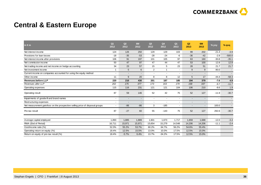

### **Central & Eastern Europe**

| in $\epsilon$ m                                                               | Q <sub>1</sub><br>2012   | Q2<br>2012               | 6M<br>2012               | Q3<br>2012               | Q4<br>2012               | Q <sub>1</sub><br>2013 | Q2<br>2013     | 6M<br>2013               | % yoy                    | % qoq                    |
|-------------------------------------------------------------------------------|--------------------------|--------------------------|--------------------------|--------------------------|--------------------------|------------------------|----------------|--------------------------|--------------------------|--------------------------|
| Net interest income                                                           | 124                      | 126                      | 250                      | 129                      | 129                      | 103                    | 99             | 202                      | $-21.4$                  | $-3.9$                   |
| Provisions for loan losses                                                    | $-18$                    | $-35$                    | $-53$                    | $-28$                    | $-24$                    | -6                     | $-36$          | $-42$                    | $-2.9$                   | $-500.0$                 |
| Net interest income after provisions                                          | 106                      | 91                       | 197                      | 101                      | 105                      | 97                     | 63             | 160                      | $-30.8$                  | $-35.1$                  |
| Net commission income                                                         | 50                       | 47                       | 97                       | 47                       | 44                       | 47                     | 53             | 100                      | 12.8                     | 12.8                     |
| Net trading income and net income on hedge accounting                         | 34                       | 23                       | 57                       | 15                       | 5                        | 23                     | 28             | 51                       | 21.7                     | 21.7                     |
| Net investment income                                                         |                          | 5                        | 6                        | $\overline{2}$           |                          |                        | 9              | 9                        | 80.0                     | $\sim$                   |
| Current income on companies accounted for using the equity method             | $\overline{\phantom{0}}$ | $\overline{\phantom{a}}$ |                          | $\blacksquare$           |                          |                        |                | $\blacksquare$           | $\overline{\phantom{a}}$ |                          |
| Other income                                                                  | 11                       | 9                        | 20                       | 8                        | 8                        | 12                     | 5              | 17                       | $-44.4$                  | $-58.3$                  |
| <b>Revenues before LLP</b>                                                    | 220                      | 210                      | 430                      | 201                      | 187                      | 185                    | 194            | 379                      | $-7.6$                   | 4.9                      |
| Revenues after LLP                                                            | 202                      | 175                      | 377                      | 173                      | 163                      | 179                    | 158            | 337                      | $-9.7$                   | $-11.7$                  |
| Operating expenses                                                            | 115                      | 116                      | 231                      | 121                      | 121                      | 104                    | 106            | 210                      | $-8.6$                   | 1.9                      |
| Operating result                                                              | 87                       | 59                       | 146                      | 52                       | 42                       | 75                     | 52             | 127                      | $-11.9$                  | $-30.7$                  |
| Impairments of goodwill and brand names                                       | $\overline{\phantom{a}}$ | $\overline{\phantom{a}}$ | $\overline{\phantom{a}}$ | $\overline{\phantom{a}}$ | $\overline{\phantom{a}}$ |                        | $\blacksquare$ | $\blacksquare$           | $\overline{\phantom{a}}$ | $\sim$                   |
| Restructuring expenses                                                        | $\overline{\phantom{a}}$ |                          | $\overline{\phantom{a}}$ | $\overline{\phantom{a}}$ |                          |                        |                | $\overline{\phantom{a}}$ |                          | $\overline{\phantom{a}}$ |
| Net measurement gain/loss on the prospective selling price of disposal groups | $\overline{\phantom{0}}$ | $-86$                    | $-86$                    | 3                        | $-185$                   |                        |                | $\overline{\phantom{a}}$ | 100.0                    | $\overline{\phantom{a}}$ |
| Pre-tax result                                                                | 87                       | $-27$                    | 60                       | 55                       | $-143$                   | 75                     | 52             | 127                      | 292.6                    | $-30.7$                  |
| Average capital employed                                                      | 1,893                    | 1,885                    | 1,889                    | 1,601                    | 1,673                    | 1,717                  | 1,659          | 1,688                    | $-12.0$                  | $-3.4$                   |
| RWA (End of Period)                                                           | 16,711                   | 15,971                   | 15,971                   | 15,654                   | 15,279                   | 14,548                 | 14,206         | 14,206                   | $-11.1$                  | $-2.4$                   |
| Cost/income ratio (%)                                                         | 52.3%                    | 55.2%                    | 53.7%                    | 60.2%                    | 64.7%                    | 56.2%                  | 54.6%          | 55.4%                    |                          |                          |
| Operating return on equity (%)                                                | 18.4%                    | 12.5%                    | 15.5%                    | 13.0%                    | 10.0%                    | 17.5%                  | 12.5%          | 15.0%                    |                          |                          |
| Return on equity of pre-tax result (%)                                        | 18.4%                    | $-5.7%$                  | 6.4%                     | 13.7%                    | $-34.2%$                 | 17.5%                  | 12.5%          | 15.0%                    |                          |                          |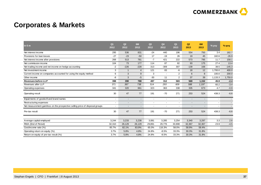

### **Corporates & Markets**

| $in \in m$                                                                    | Q <sub>1</sub><br>2012   | Q2<br>2012               | 6M<br>2012               | Q3<br>2012               | Q4<br>2012               | Q <sub>1</sub><br>2013 | Q2<br>2013               | 6M<br>2013               | % yoy                    | $%$ qoq                  |
|-------------------------------------------------------------------------------|--------------------------|--------------------------|--------------------------|--------------------------|--------------------------|------------------------|--------------------------|--------------------------|--------------------------|--------------------------|
| Net interest income                                                           | 295                      | 536                      | 831                      | $-24$                    | 440                      | 196                    | 554                      | 750                      | 3.4                      | 182.7                    |
| Provisions for loan losses                                                    | $-27$                    | $-23$                    | $-50$                    | 17                       | $-19$                    | 26                     | 19                       | 45                       | 182.6                    | $-26.9$                  |
| Net interest income after provisions                                          | 268                      | 513                      | 781                      | $-7$                     | 421                      | 222                    | 573                      | 795                      | 11.7                     | 158.1                    |
| Net commission income                                                         | 104                      | 73                       | 177                      | 114                      | 87                       | 82                     | 93                       | 175                      | 27.4                     | 13.4                     |
| Net trading income and net income on hedge accounting                         | $-2$                     | $-226$                   | $-228$                   | 313                      | $-309$                   | 307                    | $-139$                   | 168                      | 38.5                     | $-145.3$                 |
| Net investment income                                                         | 3                        | $\mathbf{1}$             | $\overline{4}$           | 121                      | 83                       | -6                     | 18                       | 12                       | 1,700.0                  | 400.0                    |
| Current income on companies accounted for using the equity method             | 6                        | 3                        | 9                        | 3                        |                          | $\overline{2}$         | 6                        | 8                        | 100.0                    | 200.0                    |
| Other income                                                                  | -8                       | 3                        | $-5$                     | $-30$                    | 11                       | $\overline{2}$         | 37                       | 39                       | 1,133.3                  | 1,750.0                  |
| <b>Revenues before LLP</b>                                                    | 398                      | 390                      | 788                      | 497                      | 312                      | 583                    | 569                      | 1,152                    | 45.9                     | $-2.4$                   |
| Revenues after LLP                                                            | 371                      | 367                      | 738                      | 514                      | 293                      | 609                    | 588                      | 1,197                    | 60.2                     | $-3.4$                   |
| Operating expenses                                                            | 341                      | 320                      | 661                      | 323                      | 363                      | 338                    | 335                      | 673                      | 4.7                      | $-0.9$                   |
| Operating result                                                              | 30                       | 47                       | 77                       | 191                      | $-70$                    | 271                    | 253                      | 524                      | 438.3                    | $-6.6$                   |
| Impairments of goodwill and brand names                                       | -                        | $\overline{a}$           | $\overline{\phantom{a}}$ | $\overline{\phantom{a}}$ | $\overline{\phantom{a}}$ |                        | $\overline{\phantom{a}}$ | $\blacksquare$           | $\overline{\phantom{a}}$ | $\sim$                   |
| Restructuring expenses                                                        | $\blacksquare$           | $\overline{\phantom{0}}$ | $\overline{\phantom{a}}$ | $\blacksquare$           | $\overline{\phantom{a}}$ |                        |                          | $\overline{\phantom{0}}$ |                          | $\overline{\phantom{a}}$ |
| Net measurement gain/loss on the prospective selling price of disposal groups | $\overline{\phantom{a}}$ |                          | $\overline{\phantom{a}}$ | $\overline{\phantom{a}}$ |                          |                        |                          | $\overline{\phantom{a}}$ |                          | $\overline{\phantom{a}}$ |
| Pre-tax result                                                                | 30                       | 47                       | 77                       | 191                      | $-70$                    | 271                    | 253                      | 524                      | 438.3                    | $-6.6$                   |
| Average capital employed                                                      | 3,244                    | 3,233                    | 3,238                    | 3,081                    | 3,285                    | 3,254                  | 3,340                    | 3,297                    | 3.3                      | 2.6                      |
| RWA (End of Period)                                                           | 32,310                   | 26,129                   | 26,129                   | 29,891                   | 29,776                   | 33,908                 | 32,367                   | 32,367                   | 23.9                     | $-4.5$                   |
| Cost/income ratio (%)                                                         | 85.7%                    | 82.1%                    | 83.9%                    | 65.0%                    | 116.3%                   | 58.0%                  | 58.9%                    | 58.4%                    |                          |                          |
| Operating return on equity (%)                                                | 3.7%                     | 5.8%                     | 4.8%                     | 24.8%                    | $-8.5%$                  | 33.3%                  | 30.3%                    | 31.8%                    |                          |                          |
| Return on equity of pre-tax result (%)                                        | 3.7%                     | 5.8%                     | 4.8%                     | 24.8%                    | $-8.5%$                  | 33.3%                  | 30.3%                    | 31.8%                    |                          |                          |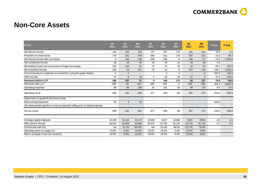

#### **Non-Core Assets**

| $in \in m$                                                                    | Q <sub>1</sub><br>2012 | Q2<br>2012     | 6M<br>2012               | Q3<br>2012               | Q4<br>2012               | Q <sub>1</sub><br>2013 | Q2<br>2013               | 6M<br>2013               | % yoy                    | $%$ qoq                  |
|-------------------------------------------------------------------------------|------------------------|----------------|--------------------------|--------------------------|--------------------------|------------------------|--------------------------|--------------------------|--------------------------|--------------------------|
| Net interest income                                                           | 184                    | 156            | 340                      | 127                      | 207                      | 170                    | 181                      | 351                      | 16.0                     | 6.5                      |
| Provisions for loan losses                                                    | $-178$                 | $-301$         | $-479$                   | $-383$                   | $-512$                   | $-175$                 | $-347$                   | $-522$                   | $-15.3$                  | $-98.3$                  |
| Net interest income after provisions                                          | 6                      | $-145$         | $-139$                   | $-256$                   | $-305$                   | -5                     | $-166$                   | $-171$                   | $-14.5$                  | $-3,220.0$               |
| Net commission income                                                         | 28                     | 18             | 46                       | 26                       | 29                       | 19                     | 19                       | 38                       | 5.6                      |                          |
| Net trading income and net income on hedge accounting                         | $-215$                 | 124            | $-91$                    | $-70$                    | $-71$                    | $-43$                  | 23                       | $-20$                    | $-81.5$                  | 153.5                    |
| Net investment income                                                         | $-203$                 | $-54$          | $-257$                   | $-79$                    | 13                       | 8                      | $-157$                   | $-149$                   | $-190.7$                 | $-2,062.5$               |
| Current income on companies accounted for using the equity method             | $-1$                   | $\overline{1}$ |                          | $\blacksquare$           | $-2$                     | $-2$                   |                          | $-2$                     | $-100.0$                 | 100.0                    |
| Other income                                                                  | 27                     | $-8$           | 19                       | $-7$                     | $-10$                    | 20                     | $-11$                    | 9                        | $-37.5$                  | $-155.0$                 |
| <b>Revenues before LLP</b>                                                    | $-180$                 | 237            | 57                       | -3                       | 166                      | 172                    | 55                       | 227                      | $-76.8$                  | $-68.0$                  |
| Revenues after LLP                                                            | $-358$                 | $-64$          | $-422$                   | $-386$                   | $-346$                   | -3                     | $-292$                   | $-295$                   | $-356.3$                 | $-9,633.3$               |
| Operating expenses                                                            | 98                     | 88             | 186                      | 91                       | 102                      | 83                     | 95                       | 178                      | 8.0                      | 14.5                     |
| Operating result                                                              | $-456$                 | $-152$         | $-608$                   | $-477$                   | $-448$                   | $-86$                  | $-387$                   | $-473$                   | $-154.6$                 | $-350.0$                 |
| Impairments of goodwill and brand names                                       |                        | $\blacksquare$ | $\overline{\phantom{a}}$ | $\overline{\phantom{a}}$ | $\blacksquare$           |                        | $\overline{\phantom{a}}$ | $\overline{\phantom{a}}$ | $\overline{\phantom{a}}$ | $\sim$                   |
| Restructuring expenses                                                        | 34                     | 9              | 43                       | $\overline{\phantom{a}}$ | $\overline{\phantom{a}}$ |                        | $\overline{\phantom{a}}$ | $\overline{\phantom{a}}$ | $-100.0$                 | $\overline{\phantom{a}}$ |
| Net measurement gain/loss on the prospective selling price of disposal groups |                        |                | $\overline{\phantom{a}}$ |                          |                          |                        | $\overline{\phantom{0}}$ | $\overline{\phantom{a}}$ |                          | $\overline{\phantom{a}}$ |
| Pre-tax result                                                                | $-490$                 | $-161$         | $-651$                   | $-477$                   | $-448$                   | $-86$                  | $-387$                   | $-473$                   | $-140.4$                 | $-350.0$                 |
|                                                                               |                        |                |                          |                          |                          |                        |                          |                          |                          |                          |
| Average capital employed                                                      | 10,226                 | 10,118         | 10,172                   | 10,053                   | 9,617                    | 10,058                 | 9,651                    | 9,854                    | $-4.6$                   | $-4.1$                   |
| RWA (End of Period)                                                           | 66,543                 | 63,069         | 63,069                   | 64,570                   | 67,782                   | 65,135                 | 61,751                   | 61,751                   | $-2.1$                   | $-5.2$                   |
| Cost/income ratio (%)                                                         | n/a                    | 37.1%          | 326.3%                   | n/a                      | 61.4%                    | 48.3%                  | 172.7%                   | 78.4%                    |                          |                          |
| Operating return on equity (%)                                                | $-17.8%$               | $-6.0%$        | $-12.0%$                 | $-19.0%$                 | $-18.6%$                 | $-3.4%$                | $-16.0%$                 | $-9.6%$                  |                          |                          |
| Return on equity of pre-tax result (%)                                        | $-19.2%$               | $-6.4%$        | $-12.8%$                 | $-19.0%$                 | $-18.6%$                 | $-3.4%$                | $-16.0%$                 | $-9.6%$                  |                          |                          |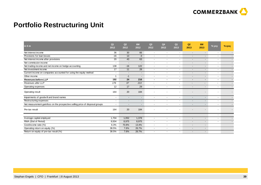

## **Portfolio Restructuring Unit**

| in $\epsilon$ m                                                               | Q <sub>1</sub><br>2012   | Q <sub>2</sub><br>2012   | 6M<br>2012               | Q <sub>3</sub><br>2012   | Q4<br>2012               | Q <sub>1</sub><br>2013   | Q2<br>2013               | 6M<br>2013               | % yoy                    | % qoq                    |
|-------------------------------------------------------------------------------|--------------------------|--------------------------|--------------------------|--------------------------|--------------------------|--------------------------|--------------------------|--------------------------|--------------------------|--------------------------|
| Net interest income                                                           | 36                       | 30                       | 66                       | $\blacksquare$           | $\blacksquare$           |                          | $\overline{\phantom{a}}$ | $\overline{\phantom{a}}$ | $\blacksquare$           | $\overline{\phantom{0}}$ |
| Provisions for loan losses                                                    | -16                      | 13                       | $-3$                     | $\overline{\phantom{a}}$ | $\blacksquare$           | $\blacksquare$           | $\overline{\phantom{a}}$ | $\sim$                   | $\overline{\phantom{a}}$ | $\sim$                   |
| Net interest income after provisions                                          | 20                       | 43                       | 63                       | $\overline{\phantom{a}}$ | $\blacksquare$           | $\blacksquare$           | $\overline{\phantom{a}}$ | $\sim$                   |                          | $\overline{\phantom{a}}$ |
| Net commission income                                                         | $\overline{\phantom{a}}$ | $\overline{\phantom{a}}$ | $\overline{a}$           | $\overline{\phantom{a}}$ | $\overline{a}$           | $\overline{\phantom{a}}$ | $\overline{\phantom{a}}$ | $\sim$                   | $\overline{\phantom{a}}$ | $\overline{\phantom{a}}$ |
| Net trading income and net income on hedge accounting                         | 138                      | $-16$                    | 122                      | $\overline{\phantom{a}}$ | $\overline{a}$           | $\overline{\phantom{a}}$ | $\overline{\phantom{a}}$ | $\sim$                   | $\overline{\phantom{a}}$ | $\sim$                   |
| Net investment income                                                         | 17                       | 11                       | 28                       | $\overline{\phantom{a}}$ | $\overline{\phantom{a}}$ | $\overline{\phantom{a}}$ |                          | $\sim$                   |                          |                          |
| Current income on companies accounted for using the equity method             | $\overline{\phantom{a}}$ | $\overline{\phantom{a}}$ | $\sim$                   | $\overline{\phantom{a}}$ | $\blacksquare$           | $\overline{\phantom{a}}$ | $\overline{\phantom{a}}$ | $\sim$                   | $\overline{\phantom{a}}$ |                          |
| Other income                                                                  |                          | $-1$                     | $\overline{\phantom{a}}$ | $\blacksquare$           | $\blacksquare$           | $\blacksquare$           | $\overline{\phantom{a}}$ |                          | $\overline{\phantom{a}}$ | $\sim$                   |
| <b>Revenues before LLP</b>                                                    | 192                      | 24                       | 216                      | $\blacksquare$           | $\blacksquare$           | ٠                        | ۰                        | ۰.                       | ۰                        | $\sim$                   |
| Revenues after LLP                                                            | 176                      | 37                       | 213                      | $\overline{\phantom{a}}$ |                          |                          | $\overline{\phantom{a}}$ | $\overline{\phantom{0}}$ | $\overline{a}$           | $\overline{\phantom{a}}$ |
| Operating expenses                                                            | 12                       | 17                       | 29                       | $\overline{\phantom{a}}$ | $\blacksquare$           | $\blacksquare$           |                          |                          |                          |                          |
| Operating result                                                              | 164                      | 20                       | 184                      |                          |                          |                          |                          |                          |                          |                          |
| Impairments of goodwill and brand names                                       | $\blacksquare$           | $\overline{\phantom{a}}$ | $\blacksquare$           | $\blacksquare$           | $\blacksquare$           | $\overline{\phantom{a}}$ |                          | $\blacksquare$           | $\overline{\phantom{a}}$ |                          |
| Restructuring expenses                                                        | $\overline{\phantom{a}}$ |                          | $\overline{\phantom{a}}$ | $\overline{\phantom{a}}$ | $\overline{\phantom{a}}$ | $\blacksquare$           | $\overline{\phantom{a}}$ | $\sim$                   | $\overline{\phantom{a}}$ |                          |
| Net measurement gain/loss on the prospective selling price of disposal groups | $\overline{\phantom{a}}$ | $\overline{\phantom{a}}$ | $\overline{\phantom{a}}$ | $\overline{\phantom{a}}$ | $\blacksquare$           | $\overline{\phantom{0}}$ | $\overline{\phantom{a}}$ | $\sim$                   | $\overline{\phantom{0}}$ |                          |
| Pre-tax result                                                                | 164                      | 20                       | 184                      | $\overline{\phantom{a}}$ |                          |                          |                          |                          |                          | $\overline{\phantom{0}}$ |
|                                                                               |                          |                          |                          |                          |                          |                          |                          |                          | $\overline{\phantom{a}}$ |                          |
| Average capital employed                                                      | 1,704                    | 1,052                    | 1,378                    | $\overline{\phantom{a}}$ | $\overline{\phantom{a}}$ | $\overline{\phantom{a}}$ | $\overline{\phantom{a}}$ | $\sim$                   | $\overline{\phantom{a}}$ |                          |
| RWA (End of Period)                                                           | 9,504                    | 8,975                    | 8,975                    | $\blacksquare$           | $\overline{\phantom{a}}$ | $\overline{\phantom{a}}$ |                          | $\sim$                   |                          |                          |
| Cost/income ratio (%)                                                         | 6.3%                     | 70.8%                    | 13.4%                    | $\blacksquare$           | $\blacksquare$           | $\overline{\phantom{a}}$ |                          | $\blacksquare$           |                          |                          |
| Operating return on equity (%)                                                | 38.5%                    | 7.6%                     | 26.7%                    | $\overline{\phantom{a}}$ | $\overline{\phantom{a}}$ | $\overline{\phantom{a}}$ | $\overline{\phantom{a}}$ | $\overline{\phantom{a}}$ |                          |                          |
| Return on equity of pre-tax result (%)                                        | 38.5%                    | 7.6%                     | 26.7%                    | $\overline{\phantom{a}}$ | $\blacksquare$           | $\overline{\phantom{a}}$ | $\overline{\phantom{a}}$ | $\sim$                   |                          |                          |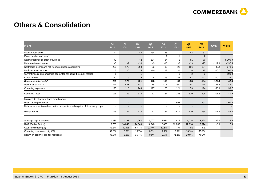

#### **Others & Consolidation**

| in $\epsilon$ m                                                               | Q <sub>1</sub><br>2012   | Q <sub>2</sub><br>2012   | 6M<br>2012               | Q3<br>2012               | Q4<br>2012               | Q <sub>1</sub><br>2013 | Q2<br>2013               | 6M<br>2013               | % yoy                    | $%$ qoq                  |
|-------------------------------------------------------------------------------|--------------------------|--------------------------|--------------------------|--------------------------|--------------------------|------------------------|--------------------------|--------------------------|--------------------------|--------------------------|
| Net interest income                                                           | 42                       | $\overline{\phantom{a}}$ | 42                       | 134                      | 35                       |                        | $-82$                    | $-82$                    | $\overline{\phantom{a}}$ |                          |
| Provisions for loan losses                                                    |                          | $\overline{a}$           |                          |                          | $-1$                     | $\mathbf 1$            |                          | 2                        | $\overline{\phantom{a}}$ |                          |
| Net interest income after provisions                                          | 42                       | $\overline{\phantom{a}}$ | 42                       | 134                      | 34                       | $\mathbf 1$            | $-81$                    | $-80$                    | $\overline{\phantom{a}}$ | $-8,200.0$               |
| Net commission income                                                         | -5                       | -9                       | $-14$                    | $-3$                     | $-10$                    | -8                     | $-19$                    | $-27$                    | $-111.1$                 | $-137.5$                 |
| Net trading income and net income on hedge accounting                         | 220                      | 178                      | 398                      | $-22$                    | $-12$                    | 28                     | 106                      | 134                      | $-40.4$                  | 278.6                    |
| Net investment income                                                         | 5                        | 20                       | 25                       | $-10$                    | 117                      | -1                     | 16                       | 15                       | $-20.0$                  | 1,700.0                  |
| Current income on companies accounted for using the equity method             | $-1$                     | $\overline{a}$           | $-1$                     | $\overline{4}$           |                          | $-1$                   | $-2$                     | $-3$                     | $\overline{\phantom{a}}$ | $-100.0$                 |
| Other income                                                                  | $-10$                    | $-19$                    | $-29$                    | 25                       | $-15$                    | $-84$                  | $-57$                    | $-141$                   | $-200.0$                 | 32.1                     |
| <b>Revenues before LLP</b>                                                    | 251                      | 170                      | 421                      | 128                      | 115                      | $-66$                  | $-38$                    | $-104$                   | $-122.4$                 | 42.4                     |
| Revenues after LLP                                                            | 251                      | 170                      | 421                      | 128                      | 114                      | $-65$                  | $-37$                    | $-102$                   | $-121.8$                 | 43.1                     |
| Operating expenses                                                            | 125                      | 118                      | 243                      | 117                      | 80                       | 121                    | 73                       | 194                      | $-38.1$                  | $-39.7$                  |
| Operating result                                                              | 126                      | 52                       | 178                      | 11                       | 34                       | $-186$                 | $-110$                   | $-296$                   | $-311.5$                 | 40.9                     |
| Impairments of goodwill and brand names                                       | $\blacksquare$           | $\overline{\phantom{a}}$ | $\overline{\phantom{a}}$ | $\overline{\phantom{a}}$ | $\overline{\phantom{a}}$ |                        | $\overline{\phantom{a}}$ | $\overline{\phantom{0}}$ | $\overline{\phantom{a}}$ | $\sim$                   |
| Restructuring expenses                                                        | $\overline{\phantom{a}}$ | $\overline{\phantom{a}}$ | $\overline{\phantom{a}}$ | $\overline{\phantom{a}}$ | $\overline{\phantom{a}}$ | 493                    | $\overline{\phantom{a}}$ | 493                      | $\overline{\phantom{a}}$ | $-100.0$                 |
| Net measurement gain/loss on the prospective selling price of disposal groups | $\overline{\phantom{a}}$ |                          | $\overline{\phantom{a}}$ | $\overline{\phantom{a}}$ |                          | $\overline{a}$         | $\overline{\phantom{0}}$ | $\overline{\phantom{a}}$ | $\overline{\phantom{a}}$ | $\overline{\phantom{a}}$ |
| Pre-tax result                                                                | 126                      | 52                       | 178                      | 11                       | 34                       | $-679$                 | $-110$                   | $-789$                   | $-311.5$                 | 83.8                     |
| Average capital employed                                                      | 1,236                    | 3,291                    | 2,263                    | 5,007                    | 5,084                    | 3,815                  | 4,026                    | 3,920                    | 22.4                     | 5.6                      |
| RWA (End of Period)                                                           | 15.753                   | 14,049                   | 14,049                   | 14,948                   | 12,436                   | 12,033                 | 12,914                   | 12,914                   | $-8.1$                   | 7.3                      |
| Cost/income ratio (%)                                                         | 49.8%                    | 69.4%                    | 57.7%                    | 91.4%                    | 69.6%                    | n/a                    | n/a                      | n/a                      |                          |                          |
| Operating return on equity (%)                                                | 40.8%                    | 6.3%                     | 15.7%                    | 0.9%                     | 2.7%                     | $-19.5%$               | $-10.9%$                 | $-15.1%$                 |                          |                          |
| Return on equity of pre-tax result (%)                                        | 40.8%                    | 6.3%                     | 15.7%                    | 0.9%                     | 2.7%                     | $-71.2%$               | $-10.9%$                 | $-40.3%$                 |                          |                          |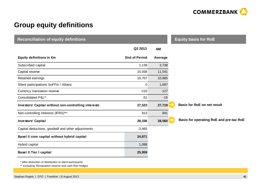

### **Group equity definitions**

| <b>Reconciliation of equity definitions</b>          |                      |         | <b>Equity basis for RoE</b>             |
|------------------------------------------------------|----------------------|---------|-----------------------------------------|
|                                                      | Q2 2013              | 6M      |                                         |
| Equity definitions in $\epsilon$ m                   | <b>End of Period</b> | Average |                                         |
| Subscribed capital                                   | 1,139                | 3,738   |                                         |
| Capital reserve                                      | 15,938               | 11,541  |                                         |
| Retained earnings                                    | 10,707               | 10,885  |                                         |
| Silent participations SoFFin / Allianz               | 0                    | 1,697   |                                         |
| Currency translation reserve                         | $-210$               | $-127$  |                                         |
| Consolidated P&L*)                                   | $-51$                | $-15$   |                                         |
| Investors' Capital without non-controlling interests | 27,523               | 27,719  | <b>Basis for RoE on net result</b>      |
| Non-controlling interests (IFRS)**)                  | 813                  | 841     |                                         |
| <b>Investors' Capital</b>                            | 28,336               | 28,560  | Basis for operating RoE and pre-tax RoE |
| Capital deductions, goodwill and other adjustments   | $-3,465$             |         |                                         |
| Basel II core capital without hybrid capital         | 24,871               |         |                                         |
| Hybrid capital                                       | 1,088                |         |                                         |
| <b>Basel II Tier I capital</b>                       | 25,959               |         |                                         |

\* After deduction of distribution to silent participants

\*\* excluding: Revaluation reserve and cash flow hedges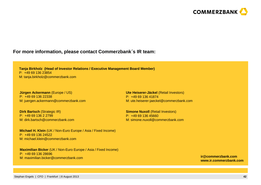

#### **For more information, please contact Commerzbank**´**<sup>s</sup> IR team:**

**Tanja Birkholz (Head of Investor Relations / Executive Management Board Member)**P: +49 69 136 23854M: tanja.birkholz@commerzbank.com

**Jürgen Ackermann** (Europe / US)P: +49 69 136 22338M: juergen.ackermann@commerzbank.com

**Dirk Bartsch (Strategic IR)** P: +49 69 136 2 2799 M: dirk.bartsch@commerzbank.com

**Michael H. Klein** (UK / Non-Euro Europe / Asia / Fixed Income)P: +49 69 136 24522M: michael.klein@commerzbank.com

**Maximilian Bicker** (UK / Non-Euro Europe / Asia / Fixed Income)P: +49 69 136 28696M: maximilian.bicker@commerzbank.com

**Ute Heiserer-Jäckel** (Retail Investors)P: +49 69 136 41874M: ute.heiserer-jaeckel@commerzbank.com

**Simone Nuxoll** (Retail Investors)P: +49 69 136 45660M: simone.nuxoll@commerzbank.com

> **ir@commerzbank.comwww.ir.commerzbank.com**